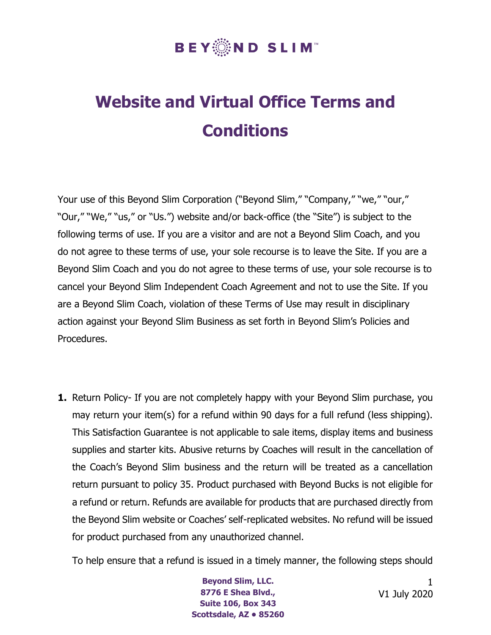## **BEY▒ND SLIM**™

## **Website and Virtual Office Terms and Conditions**

Your use of this Beyond Slim Corporation ("Beyond Slim," "Company," "we," "our," "Our," "We," "us," or "Us.") website and/or back-office (the "Site") is subject to the following terms of use. If you are a visitor and are not a Beyond Slim Coach, and you do not agree to these terms of use, your sole recourse is to leave the Site. If you are a Beyond Slim Coach and you do not agree to these terms of use, your sole recourse is to cancel your Beyond Slim Independent Coach Agreement and not to use the Site. If you are a Beyond Slim Coach, violation of these Terms of Use may result in disciplinary action against your Beyond Slim Business as set forth in Beyond Slim's Policies and Procedures.

**1.** Return Policy- If you are not completely happy with your Beyond Slim purchase, you may return your item(s) for a refund within 90 days for a full refund (less shipping). This Satisfaction Guarantee is not applicable to sale items, display items and business supplies and starter kits. Abusive returns by Coaches will result in the cancellation of the Coach's Beyond Slim business and the return will be treated as a cancellation return pursuant to policy 35. Product purchased with Beyond Bucks is not eligible for a refund or return. Refunds are available for products that are purchased directly from the Beyond Slim website or Coaches' self-replicated websites. No refund will be issued for product purchased from any unauthorized channel.

To help ensure that a refund is issued in a timely manner, the following steps should

**Beyond Slim, LLC. 8776 E Shea Blvd., Suite 106, Box 343 Scottsdale, AZ • 85260**

1 V1 July 2020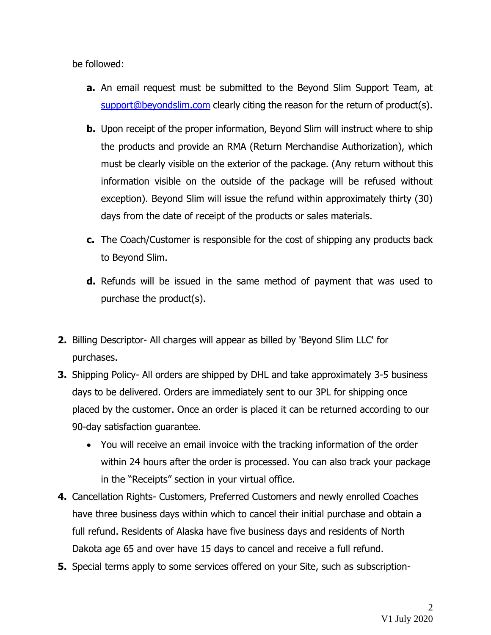be followed:

- **a.** An email request must be submitted to the Beyond Slim Support Team, at [support@beyondslim.com](mailto:support@beyondslim.com) clearly citing the reason for the return of product(s).
- **b.** Upon receipt of the proper information, Beyond Slim will instruct where to ship the products and provide an RMA (Return Merchandise Authorization), which must be clearly visible on the exterior of the package. (Any return without this information visible on the outside of the package will be refused without exception). Beyond Slim will issue the refund within approximately thirty (30) days from the date of receipt of the products or sales materials.
- **c.** The Coach/Customer is responsible for the cost of shipping any products back to Beyond Slim.
- **d.** Refunds will be issued in the same method of payment that was used to purchase the product(s).
- **2.** Billing Descriptor- All charges will appear as billed by 'Beyond Slim LLC' for purchases.
- **3.** Shipping Policy- All orders are shipped by DHL and take approximately 3-5 business days to be delivered. Orders are immediately sent to our 3PL for shipping once placed by the customer. Once an order is placed it can be returned according to our 90-day satisfaction guarantee.
	- You will receive an email invoice with the tracking information of the order within 24 hours after the order is processed. You can also track your package in the "Receipts" section in your virtual office.
- **4.** Cancellation Rights- Customers, Preferred Customers and newly enrolled Coaches have three business days within which to cancel their initial purchase and obtain a full refund. Residents of Alaska have five business days and residents of North Dakota age 65 and over have 15 days to cancel and receive a full refund.
- **5.** Special terms apply to some services offered on your Site, such as subscription-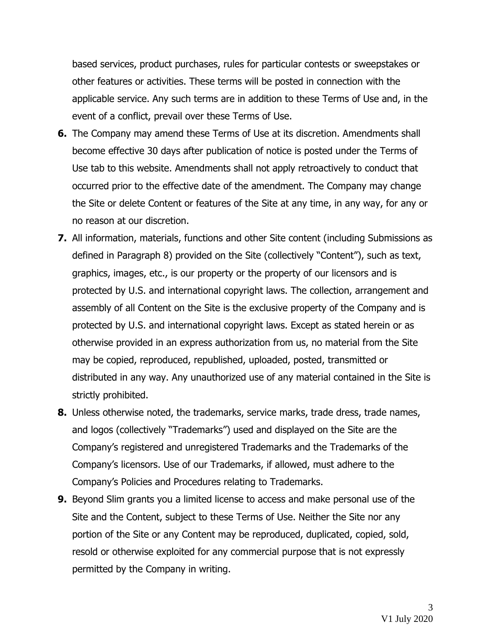based services, product purchases, rules for particular contests or sweepstakes or other features or activities. These terms will be posted in connection with the applicable service. Any such terms are in addition to these Terms of Use and, in the event of a conflict, prevail over these Terms of Use.

- **6.** The Company may amend these Terms of Use at its discretion. Amendments shall become effective 30 days after publication of notice is posted under the Terms of Use tab to this website. Amendments shall not apply retroactively to conduct that occurred prior to the effective date of the amendment. The Company may change the Site or delete Content or features of the Site at any time, in any way, for any or no reason at our discretion.
- **7.** All information, materials, functions and other Site content (including Submissions as defined in Paragraph 8) provided on the Site (collectively "Content"), such as text, graphics, images, etc., is our property or the property of our licensors and is protected by U.S. and international copyright laws. The collection, arrangement and assembly of all Content on the Site is the exclusive property of the Company and is protected by U.S. and international copyright laws. Except as stated herein or as otherwise provided in an express authorization from us, no material from the Site may be copied, reproduced, republished, uploaded, posted, transmitted or distributed in any way. Any unauthorized use of any material contained in the Site is strictly prohibited.
- **8.** Unless otherwise noted, the trademarks, service marks, trade dress, trade names, and logos (collectively "Trademarks") used and displayed on the Site are the Company's registered and unregistered Trademarks and the Trademarks of the Company's licensors. Use of our Trademarks, if allowed, must adhere to the Company's Policies and Procedures relating to Trademarks.
- **9.** Beyond Slim grants you a limited license to access and make personal use of the Site and the Content, subject to these Terms of Use. Neither the Site nor any portion of the Site or any Content may be reproduced, duplicated, copied, sold, resold or otherwise exploited for any commercial purpose that is not expressly permitted by the Company in writing.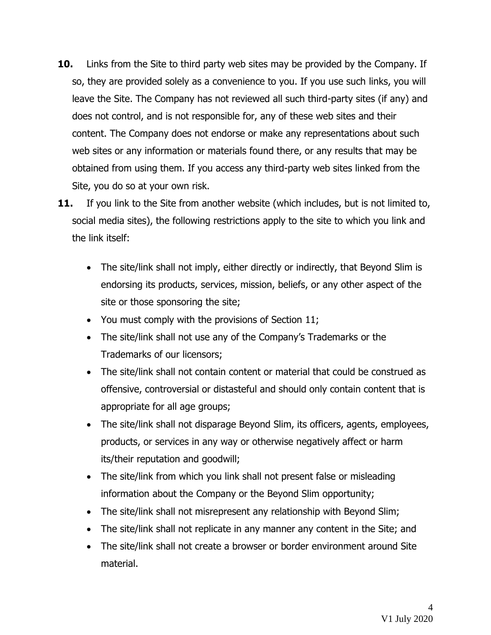- **10.** Links from the Site to third party web sites may be provided by the Company. If so, they are provided solely as a convenience to you. If you use such links, you will leave the Site. The Company has not reviewed all such third-party sites (if any) and does not control, and is not responsible for, any of these web sites and their content. The Company does not endorse or make any representations about such web sites or any information or materials found there, or any results that may be obtained from using them. If you access any third-party web sites linked from the Site, you do so at your own risk.
- **11.** If you link to the Site from another website (which includes, but is not limited to, social media sites), the following restrictions apply to the site to which you link and the link itself:
	- The site/link shall not imply, either directly or indirectly, that Beyond Slim is endorsing its products, services, mission, beliefs, or any other aspect of the site or those sponsoring the site;
	- You must comply with the provisions of Section 11;
	- The site/link shall not use any of the Company's Trademarks or the Trademarks of our licensors;
	- The site/link shall not contain content or material that could be construed as offensive, controversial or distasteful and should only contain content that is appropriate for all age groups;
	- The site/link shall not disparage Beyond Slim, its officers, agents, employees, products, or services in any way or otherwise negatively affect or harm its/their reputation and goodwill;
	- The site/link from which you link shall not present false or misleading information about the Company or the Beyond Slim opportunity;
	- The site/link shall not misrepresent any relationship with Beyond Slim;
	- The site/link shall not replicate in any manner any content in the Site; and
	- The site/link shall not create a browser or border environment around Site material.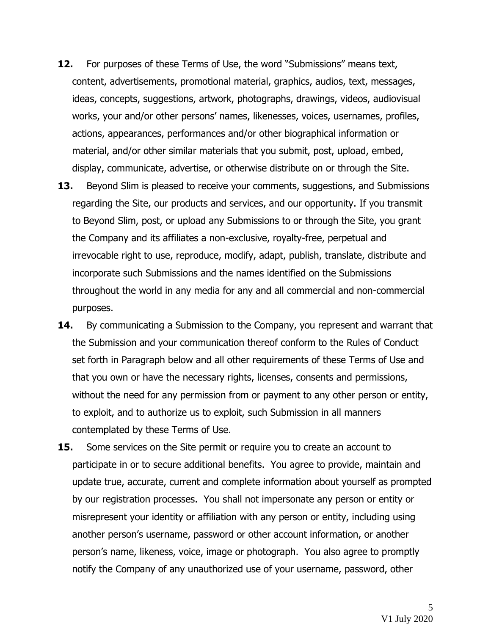- **12.** For purposes of these Terms of Use, the word "Submissions" means text, content, advertisements, promotional material, graphics, audios, text, messages, ideas, concepts, suggestions, artwork, photographs, drawings, videos, audiovisual works, your and/or other persons' names, likenesses, voices, usernames, profiles, actions, appearances, performances and/or other biographical information or material, and/or other similar materials that you submit, post, upload, embed, display, communicate, advertise, or otherwise distribute on or through the Site.
- **13.** Beyond Slim is pleased to receive your comments, suggestions, and Submissions regarding the Site, our products and services, and our opportunity. If you transmit to Beyond Slim, post, or upload any Submissions to or through the Site, you grant the Company and its affiliates a non-exclusive, royalty-free, perpetual and irrevocable right to use, reproduce, modify, adapt, publish, translate, distribute and incorporate such Submissions and the names identified on the Submissions throughout the world in any media for any and all commercial and non-commercial purposes.
- **14.** By communicating a Submission to the Company, you represent and warrant that the Submission and your communication thereof conform to the Rules of Conduct set forth in Paragraph below and all other requirements of these Terms of Use and that you own or have the necessary rights, licenses, consents and permissions, without the need for any permission from or payment to any other person or entity, to exploit, and to authorize us to exploit, such Submission in all manners contemplated by these Terms of Use.
- **15.** Some services on the Site permit or require you to create an account to participate in or to secure additional benefits. You agree to provide, maintain and update true, accurate, current and complete information about yourself as prompted by our registration processes. You shall not impersonate any person or entity or misrepresent your identity or affiliation with any person or entity, including using another person's username, password or other account information, or another person's name, likeness, voice, image or photograph. You also agree to promptly notify the Company of any unauthorized use of your username, password, other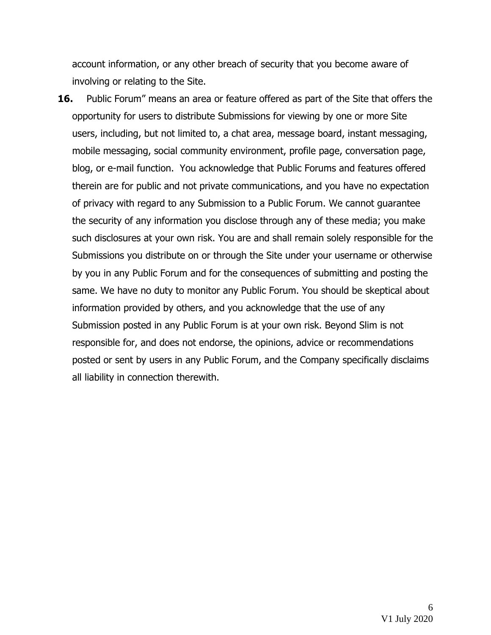account information, or any other breach of security that you become aware of involving or relating to the Site.

**16.** Public Forum" means an area or feature offered as part of the Site that offers the opportunity for users to distribute Submissions for viewing by one or more Site users, including, but not limited to, a chat area, message board, instant messaging, mobile messaging, social community environment, profile page, conversation page, blog, or e-mail function. You acknowledge that Public Forums and features offered therein are for public and not private communications, and you have no expectation of privacy with regard to any Submission to a Public Forum. We cannot guarantee the security of any information you disclose through any of these media; you make such disclosures at your own risk. You are and shall remain solely responsible for the Submissions you distribute on or through the Site under your username or otherwise by you in any Public Forum and for the consequences of submitting and posting the same. We have no duty to monitor any Public Forum. You should be skeptical about information provided by others, and you acknowledge that the use of any Submission posted in any Public Forum is at your own risk. Beyond Slim is not responsible for, and does not endorse, the opinions, advice or recommendations posted or sent by users in any Public Forum, and the Company specifically disclaims all liability in connection therewith.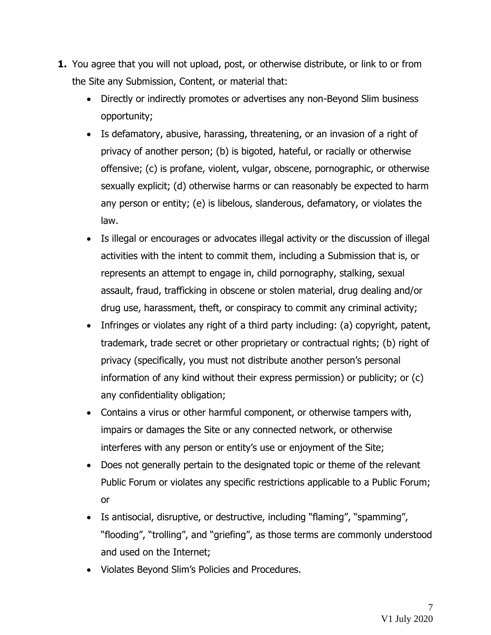- **1.** You agree that you will not upload, post, or otherwise distribute, or link to or from the Site any Submission, Content, or material that:
	- Directly or indirectly promotes or advertises any non-Beyond Slim business opportunity;
	- Is defamatory, abusive, harassing, threatening, or an invasion of a right of privacy of another person; (b) is bigoted, hateful, or racially or otherwise offensive; (c) is profane, violent, vulgar, obscene, pornographic, or otherwise sexually explicit; (d) otherwise harms or can reasonably be expected to harm any person or entity; (e) is libelous, slanderous, defamatory, or violates the law.
	- Is illegal or encourages or advocates illegal activity or the discussion of illegal activities with the intent to commit them, including a Submission that is, or represents an attempt to engage in, child pornography, stalking, sexual assault, fraud, trafficking in obscene or stolen material, drug dealing and/or drug use, harassment, theft, or conspiracy to commit any criminal activity;
	- Infringes or violates any right of a third party including: (a) copyright, patent, trademark, trade secret or other proprietary or contractual rights; (b) right of privacy (specifically, you must not distribute another person's personal information of any kind without their express permission) or publicity; or (c) any confidentiality obligation;
	- Contains a virus or other harmful component, or otherwise tampers with, impairs or damages the Site or any connected network, or otherwise interferes with any person or entity's use or enjoyment of the Site;
	- Does not generally pertain to the designated topic or theme of the relevant Public Forum or violates any specific restrictions applicable to a Public Forum; or
	- Is antisocial, disruptive, or destructive, including "flaming", "spamming", "flooding", "trolling", and "griefing", as those terms are commonly understood and used on the Internet;
	- Violates Beyond Slim's Policies and Procedures.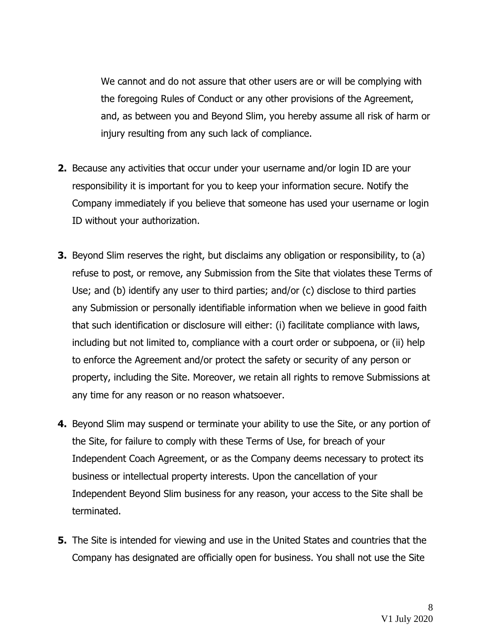We cannot and do not assure that other users are or will be complying with the foregoing Rules of Conduct or any other provisions of the Agreement, and, as between you and Beyond Slim, you hereby assume all risk of harm or injury resulting from any such lack of compliance.

- **2.** Because any activities that occur under your username and/or login ID are your responsibility it is important for you to keep your information secure. Notify the Company immediately if you believe that someone has used your username or login ID without your authorization.
- **3.** Beyond Slim reserves the right, but disclaims any obligation or responsibility, to (a) refuse to post, or remove, any Submission from the Site that violates these Terms of Use; and (b) identify any user to third parties; and/or (c) disclose to third parties any Submission or personally identifiable information when we believe in good faith that such identification or disclosure will either: (i) facilitate compliance with laws, including but not limited to, compliance with a court order or subpoena, or (ii) help to enforce the Agreement and/or protect the safety or security of any person or property, including the Site. Moreover, we retain all rights to remove Submissions at any time for any reason or no reason whatsoever.
- **4.** Beyond Slim may suspend or terminate your ability to use the Site, or any portion of the Site, for failure to comply with these Terms of Use, for breach of your Independent Coach Agreement, or as the Company deems necessary to protect its business or intellectual property interests. Upon the cancellation of your Independent Beyond Slim business for any reason, your access to the Site shall be terminated.
- **5.** The Site is intended for viewing and use in the United States and countries that the Company has designated are officially open for business. You shall not use the Site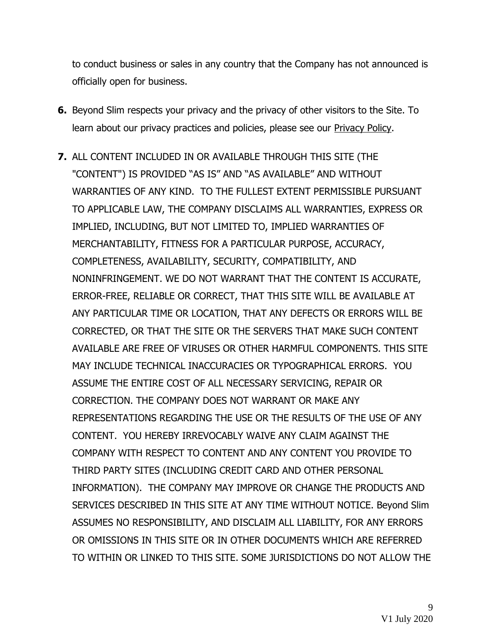to conduct business or sales in any country that the Company has not announced is officially open for business.

- **6.** Beyond Slim respects your privacy and the privacy of other visitors to the Site. To learn about our privacy practices and policies, please see our Privacy Policy.
- **7.** ALL CONTENT INCLUDED IN OR AVAILABLE THROUGH THIS SITE (THE "CONTENT") IS PROVIDED "AS IS" AND "AS AVAILABLE" AND WITHOUT WARRANTIES OF ANY KIND. TO THE FULLEST EXTENT PERMISSIBLE PURSUANT TO APPLICABLE LAW, THE COMPANY DISCLAIMS ALL WARRANTIES, EXPRESS OR IMPLIED, INCLUDING, BUT NOT LIMITED TO, IMPLIED WARRANTIES OF MERCHANTABILITY, FITNESS FOR A PARTICULAR PURPOSE, ACCURACY, COMPLETENESS, AVAILABILITY, SECURITY, COMPATIBILITY, AND NONINFRINGEMENT. WE DO NOT WARRANT THAT THE CONTENT IS ACCURATE, ERROR-FREE, RELIABLE OR CORRECT, THAT THIS SITE WILL BE AVAILABLE AT ANY PARTICULAR TIME OR LOCATION, THAT ANY DEFECTS OR ERRORS WILL BE CORRECTED, OR THAT THE SITE OR THE SERVERS THAT MAKE SUCH CONTENT AVAILABLE ARE FREE OF VIRUSES OR OTHER HARMFUL COMPONENTS. THIS SITE MAY INCLUDE TECHNICAL INACCURACIES OR TYPOGRAPHICAL ERRORS. YOU ASSUME THE ENTIRE COST OF ALL NECESSARY SERVICING, REPAIR OR CORRECTION. THE COMPANY DOES NOT WARRANT OR MAKE ANY REPRESENTATIONS REGARDING THE USE OR THE RESULTS OF THE USE OF ANY CONTENT. YOU HEREBY IRREVOCABLY WAIVE ANY CLAIM AGAINST THE COMPANY WITH RESPECT TO CONTENT AND ANY CONTENT YOU PROVIDE TO THIRD PARTY SITES (INCLUDING CREDIT CARD AND OTHER PERSONAL INFORMATION). THE COMPANY MAY IMPROVE OR CHANGE THE PRODUCTS AND SERVICES DESCRIBED IN THIS SITE AT ANY TIME WITHOUT NOTICE. Beyond Slim ASSUMES NO RESPONSIBILITY, AND DISCLAIM ALL LIABILITY, FOR ANY ERRORS OR OMISSIONS IN THIS SITE OR IN OTHER DOCUMENTS WHICH ARE REFERRED TO WITHIN OR LINKED TO THIS SITE. SOME JURISDICTIONS DO NOT ALLOW THE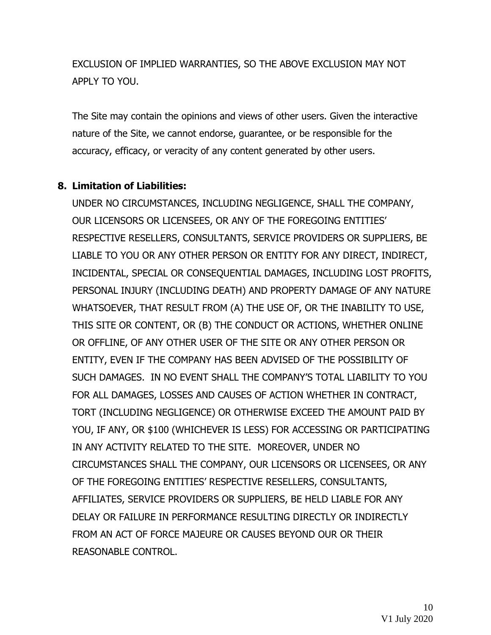EXCLUSION OF IMPLIED WARRANTIES, SO THE ABOVE EXCLUSION MAY NOT APPLY TO YOU.

The Site may contain the opinions and views of other users. Given the interactive nature of the Site, we cannot endorse, guarantee, or be responsible for the accuracy, efficacy, or veracity of any content generated by other users.

## **8. Limitation of Liabilities:**

UNDER NO CIRCUMSTANCES, INCLUDING NEGLIGENCE, SHALL THE COMPANY, OUR LICENSORS OR LICENSEES, OR ANY OF THE FOREGOING ENTITIES' RESPECTIVE RESELLERS, CONSULTANTS, SERVICE PROVIDERS OR SUPPLIERS, BE LIABLE TO YOU OR ANY OTHER PERSON OR ENTITY FOR ANY DIRECT, INDIRECT, INCIDENTAL, SPECIAL OR CONSEQUENTIAL DAMAGES, INCLUDING LOST PROFITS, PERSONAL INJURY (INCLUDING DEATH) AND PROPERTY DAMAGE OF ANY NATURE WHATSOEVER, THAT RESULT FROM (A) THE USE OF, OR THE INABILITY TO USE, THIS SITE OR CONTENT, OR (B) THE CONDUCT OR ACTIONS, WHETHER ONLINE OR OFFLINE, OF ANY OTHER USER OF THE SITE OR ANY OTHER PERSON OR ENTITY, EVEN IF THE COMPANY HAS BEEN ADVISED OF THE POSSIBILITY OF SUCH DAMAGES. IN NO EVENT SHALL THE COMPANY'S TOTAL LIABILITY TO YOU FOR ALL DAMAGES, LOSSES AND CAUSES OF ACTION WHETHER IN CONTRACT, TORT (INCLUDING NEGLIGENCE) OR OTHERWISE EXCEED THE AMOUNT PAID BY YOU, IF ANY, OR \$100 (WHICHEVER IS LESS) FOR ACCESSING OR PARTICIPATING IN ANY ACTIVITY RELATED TO THE SITE. MOREOVER, UNDER NO CIRCUMSTANCES SHALL THE COMPANY, OUR LICENSORS OR LICENSEES, OR ANY OF THE FOREGOING ENTITIES' RESPECTIVE RESELLERS, CONSULTANTS, AFFILIATES, SERVICE PROVIDERS OR SUPPLIERS, BE HELD LIABLE FOR ANY DELAY OR FAILURE IN PERFORMANCE RESULTING DIRECTLY OR INDIRECTLY FROM AN ACT OF FORCE MAJEURE OR CAUSES BEYOND OUR OR THEIR REASONABLE CONTROL.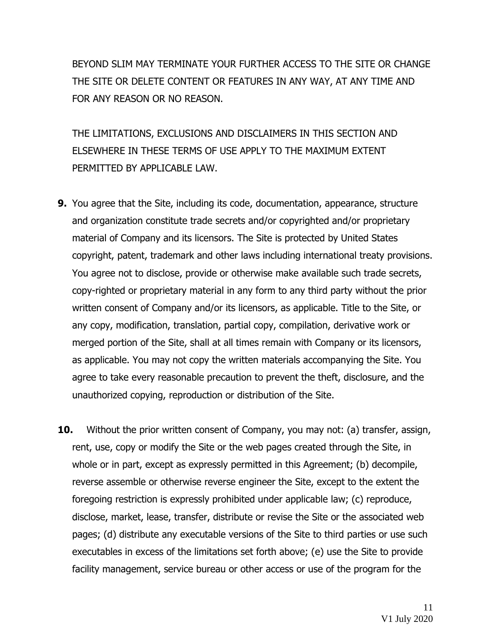BEYOND SLIM MAY TERMINATE YOUR FURTHER ACCESS TO THE SITE OR CHANGE THE SITE OR DELETE CONTENT OR FEATURES IN ANY WAY, AT ANY TIME AND FOR ANY REASON OR NO REASON.

THE LIMITATIONS, EXCLUSIONS AND DISCLAIMERS IN THIS SECTION AND ELSEWHERE IN THESE TERMS OF USE APPLY TO THE MAXIMUM EXTENT PERMITTED BY APPLICABLE LAW.

- **9.** You agree that the Site, including its code, documentation, appearance, structure and organization constitute trade secrets and/or copyrighted and/or proprietary material of Company and its licensors. The Site is protected by United States copyright, patent, trademark and other laws including international treaty provisions. You agree not to disclose, provide or otherwise make available such trade secrets, copy-righted or proprietary material in any form to any third party without the prior written consent of Company and/or its licensors, as applicable. Title to the Site, or any copy, modification, translation, partial copy, compilation, derivative work or merged portion of the Site, shall at all times remain with Company or its licensors, as applicable. You may not copy the written materials accompanying the Site. You agree to take every reasonable precaution to prevent the theft, disclosure, and the unauthorized copying, reproduction or distribution of the Site.
- **10.** Without the prior written consent of Company, you may not: (a) transfer, assign, rent, use, copy or modify the Site or the web pages created through the Site, in whole or in part, except as expressly permitted in this Agreement; (b) decompile, reverse assemble or otherwise reverse engineer the Site, except to the extent the foregoing restriction is expressly prohibited under applicable law; (c) reproduce, disclose, market, lease, transfer, distribute or revise the Site or the associated web pages; (d) distribute any executable versions of the Site to third parties or use such executables in excess of the limitations set forth above; (e) use the Site to provide facility management, service bureau or other access or use of the program for the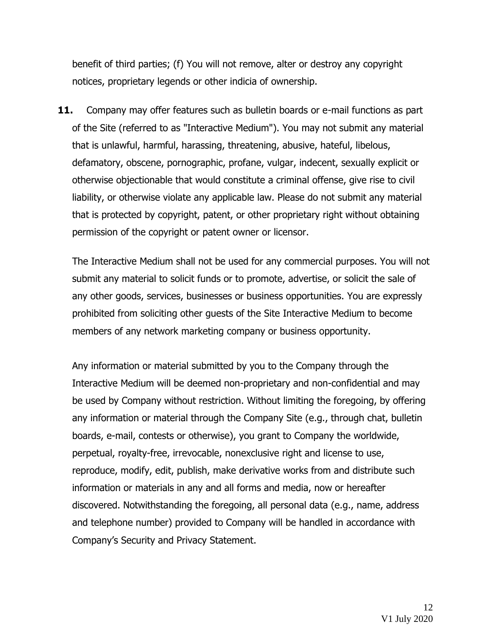benefit of third parties; (f) You will not remove, alter or destroy any copyright notices, proprietary legends or other indicia of ownership.

**11.** Company may offer features such as bulletin boards or e-mail functions as part of the Site (referred to as "Interactive Medium"). You may not submit any material that is unlawful, harmful, harassing, threatening, abusive, hateful, libelous, defamatory, obscene, pornographic, profane, vulgar, indecent, sexually explicit or otherwise objectionable that would constitute a criminal offense, give rise to civil liability, or otherwise violate any applicable law. Please do not submit any material that is protected by copyright, patent, or other proprietary right without obtaining permission of the copyright or patent owner or licensor.

The Interactive Medium shall not be used for any commercial purposes. You will not submit any material to solicit funds or to promote, advertise, or solicit the sale of any other goods, services, businesses or business opportunities. You are expressly prohibited from soliciting other guests of the Site Interactive Medium to become members of any network marketing company or business opportunity.

Any information or material submitted by you to the Company through the Interactive Medium will be deemed non-proprietary and non-confidential and may be used by Company without restriction. Without limiting the foregoing, by offering any information or material through the Company Site (e.g., through chat, bulletin boards, e-mail, contests or otherwise), you grant to Company the worldwide, perpetual, royalty-free, irrevocable, nonexclusive right and license to use, reproduce, modify, edit, publish, make derivative works from and distribute such information or materials in any and all forms and media, now or hereafter discovered. Notwithstanding the foregoing, all personal data (e.g., name, address and telephone number) provided to Company will be handled in accordance with Company's Security and Privacy Statement.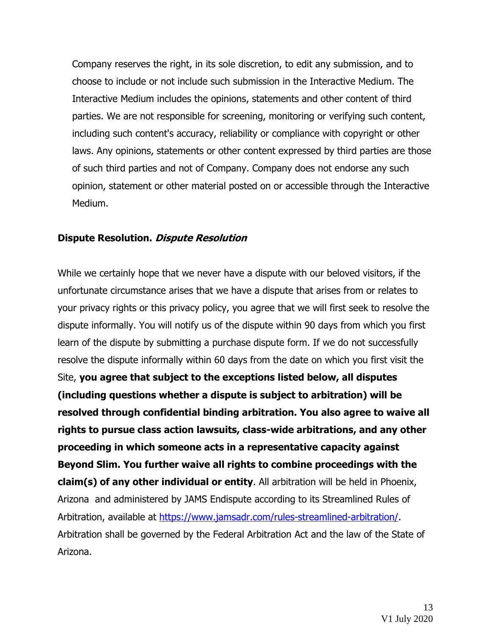Company reserves the right, in its sole discretion, to edit any submission, and to choose to include or not include such submission in the Interactive Medium. The Interactive Medium includes the opinions, statements and other content of third parties. We are not responsible for screening, monitoring or verifying such content, including such content's accuracy, reliability or compliance with copyright or other laws. Any opinions, statements or other content expressed by third parties are those of such third parties and not of Company. Company does not endorse any such opinion, statement or other material posted on or accessible through the Interactive Medium.

## **Dispute Resolution. Dispute Resolution**

While we certainly hope that we never have a dispute with our beloved visitors, if the unfortunate circumstance arises that we have a dispute that arises from or relates to your privacy rights or this privacy policy, you agree that we will first seek to resolve the dispute informally. You will notify us of the dispute within 90 days from which you first learn of the dispute by submitting a purchase dispute form. If we do not successfully resolve the dispute informally within 60 days from the date on which you first visit the Site, **you agree that subject to the exceptions listed below, all disputes (including questions whether a dispute is subject to arbitration) will be resolved through confidential binding arbitration. You also agree to waive all rights to pursue class action lawsuits, class-wide arbitrations, and any other proceeding in which someone acts in a representative capacity against Beyond Slim. You further waive all rights to combine proceedings with the claim(s) of any other individual or entity**. All arbitration will be held in Phoenix, Arizona and administered by JAMS Endispute according to its Streamlined Rules of Arbitration, available at [https://www.jamsadr.com/rules-streamlined-arbitration/.](https://www.jamsadr.com/rules-streamlined-arbitration/) Arbitration shall be governed by the Federal Arbitration Act and the law of the State of Arizona.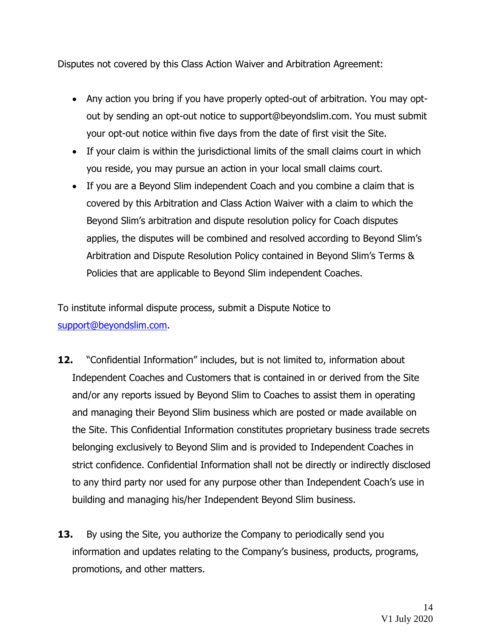Disputes not covered by this Class Action Waiver and Arbitration Agreement:

- Any action you bring if you have properly opted-out of arbitration. You may optout by sending an opt-out notice to support@beyondslim.com. You must submit your opt-out notice within five days from the date of first visit the Site.
- If your claim is within the jurisdictional limits of the small claims court in which you reside, you may pursue an action in your local small claims court.
- If you are a Beyond Slim independent Coach and you combine a claim that is covered by this Arbitration and Class Action Waiver with a claim to which the Beyond Slim's arbitration and dispute resolution policy for Coach disputes applies, the disputes will be combined and resolved according to Beyond Slim's Arbitration and Dispute Resolution Policy contained in Beyond Slim's Terms & Policies that are applicable to Beyond Slim independent Coaches.

To institute informal dispute process, submit a Dispute Notice to [support@beyondslim.com.](mailto:support@beyondslim.com)

- **12.** "Confidential Information" includes, but is not limited to, information about Independent Coaches and Customers that is contained in or derived from the Site and/or any reports issued by Beyond Slim to Coaches to assist them in operating and managing their Beyond Slim business which are posted or made available on the Site. This Confidential Information constitutes proprietary business trade secrets belonging exclusively to Beyond Slim and is provided to Independent Coaches in strict confidence. Confidential Information shall not be directly or indirectly disclosed to any third party nor used for any purpose other than Independent Coach's use in building and managing his/her Independent Beyond Slim business.
- **13.** By using the Site, you authorize the Company to periodically send you information and updates relating to the Company's business, products, programs, promotions, and other matters.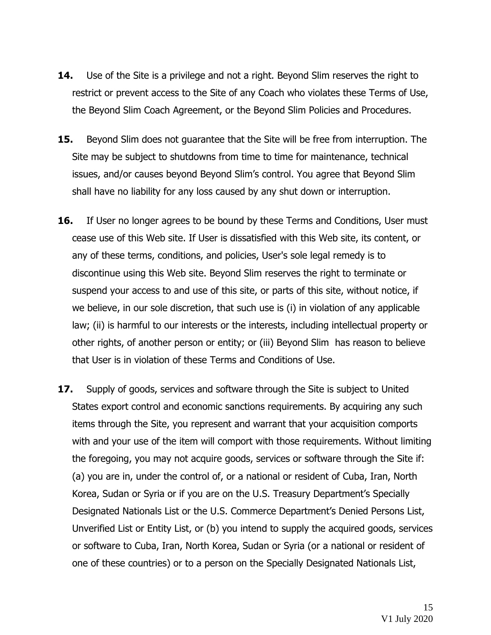- **14.** Use of the Site is a privilege and not a right. Beyond Slim reserves the right to restrict or prevent access to the Site of any Coach who violates these Terms of Use, the Beyond Slim Coach Agreement, or the Beyond Slim Policies and Procedures.
- **15.** Beyond Slim does not guarantee that the Site will be free from interruption. The Site may be subject to shutdowns from time to time for maintenance, technical issues, and/or causes beyond Beyond Slim's control. You agree that Beyond Slim shall have no liability for any loss caused by any shut down or interruption.
- **16.** If User no longer agrees to be bound by these Terms and Conditions, User must cease use of this Web site. If User is dissatisfied with this Web site, its content, or any of these terms, conditions, and policies, User's sole legal remedy is to discontinue using this Web site. Beyond Slim reserves the right to terminate or suspend your access to and use of this site, or parts of this site, without notice, if we believe, in our sole discretion, that such use is (i) in violation of any applicable law; (ii) is harmful to our interests or the interests, including intellectual property or other rights, of another person or entity; or (iii) Beyond Slim has reason to believe that User is in violation of these Terms and Conditions of Use.
- **17.** Supply of goods, services and software through the Site is subject to United States export control and economic sanctions requirements. By acquiring any such items through the Site, you represent and warrant that your acquisition comports with and your use of the item will comport with those requirements. Without limiting the foregoing, you may not acquire goods, services or software through the Site if: (a) you are in, under the control of, or a national or resident of Cuba, Iran, North Korea, Sudan or Syria or if you are on the U.S. Treasury Department's Specially Designated Nationals List or the U.S. Commerce Department's Denied Persons List, Unverified List or Entity List, or (b) you intend to supply the acquired goods, services or software to Cuba, Iran, North Korea, Sudan or Syria (or a national or resident of one of these countries) or to a person on the Specially Designated Nationals List,